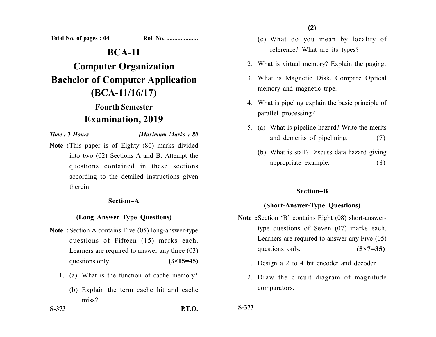**Total No. of pages : 04 Roll No. ....................**

## **BCA-11**

# **Computer Organization Bachelor of Computer Application (BCA-11/16/17)**

# **Fourth Semester Examination, 2019**

*Time :* **3** *Hours [Maximum Marks : 80*

**Note :**This paper is of Eighty (80) marks divided into two (02) Sections A and B. Attempt the questions contained in these sections according to the detailed instructions given therein.

#### **Section–A**

#### **(Long Answer Type Questions)**

- **Note :**Section A contains Five (05) long-answer-type questions of Fifteen (15) marks each. Learners are required to answer any three (03) questions only. **(3×15=45)** 
	- 1. (a) What is the function of cache memory?
		- (b) Explain the term cache hit and cache miss?
- (c) What do you mean by locality of reference? What are its types?
- 2. What is virtual memory? Explain the paging.
- 3. What is Magnetic Disk. Compare Optical memory and magnetic tape.
- 4. What is pipeling explain the basic principle of parallel processing?
- 5. (a) What is pipeline hazard? Write the merits and demerits of pipelining. (7)
	- (b) What is stall? Discuss data hazard giving appropriate example. (8)

#### **Section–B**

#### **(Short-Answer-Type Questions)**

- **Note :**Section 'B' contains Eight (08) short-answertype questions of Seven (07) marks each. Learners are required to answer any Five (05) questions only. **(5×7=35)** 
	- 1. Design a 2 to 4 bit encoder and decoder.
	- 2. Draw the circuit diagram of magnitude comparators.

**S-373 P.T.O.**

**S-373**